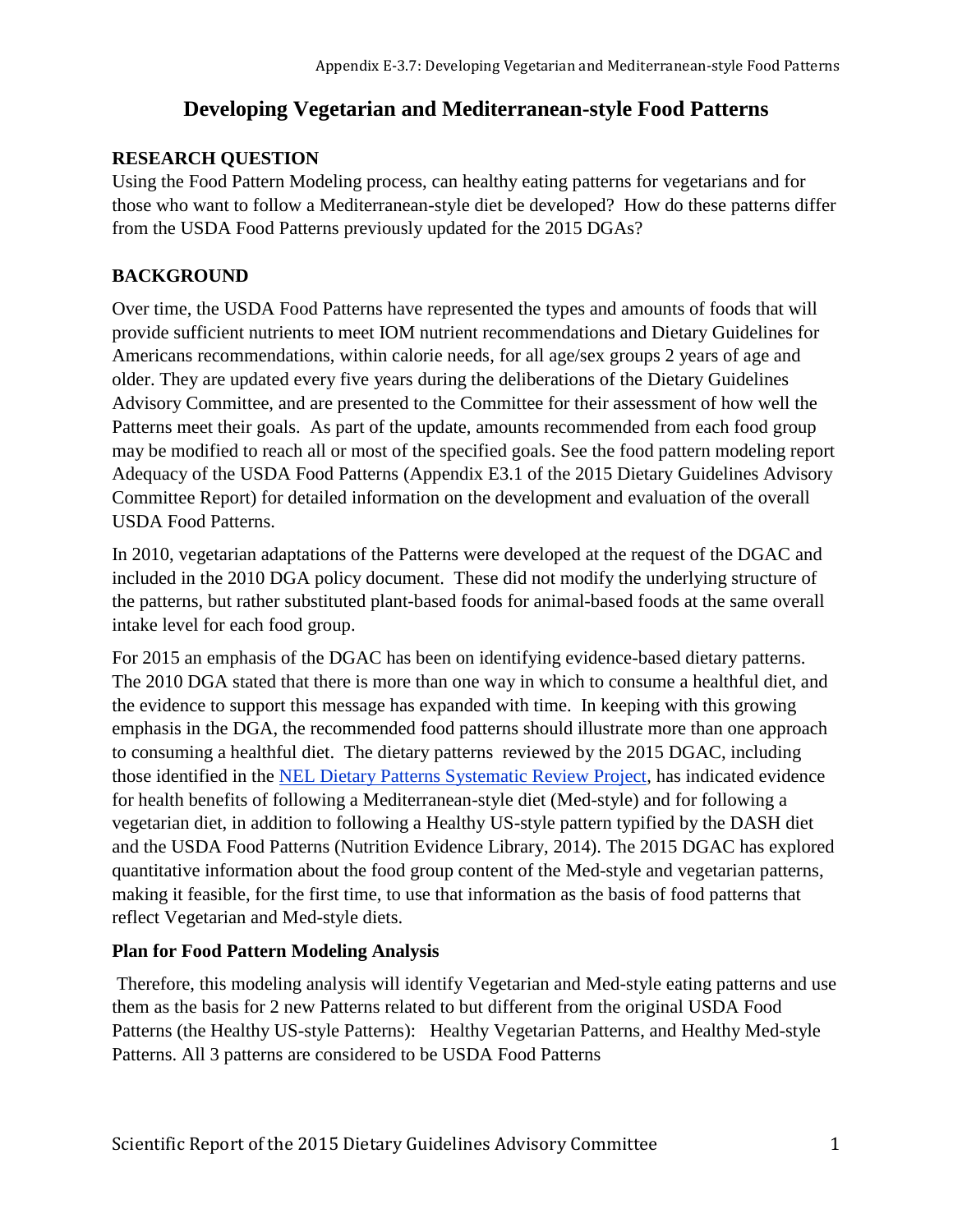# **Developing Vegetarian and Mediterranean-style Food Patterns**

## **RESEARCH QUESTION**

Using the Food Pattern Modeling process, can healthy eating patterns for vegetarians and for those who want to follow a Mediterranean-style diet be developed? How do these patterns differ from the USDA Food Patterns previously updated for the 2015 DGAs?

## **BACKGROUND**

Over time, the USDA Food Patterns have represented the types and amounts of foods that will provide sufficient nutrients to meet IOM nutrient recommendations and Dietary Guidelines for Americans recommendations, within calorie needs, for all age/sex groups 2 years of age and older. They are updated every five years during the deliberations of the Dietary Guidelines Advisory Committee, and are presented to the Committee for their assessment of how well the Patterns meet their goals. As part of the update, amounts recommended from each food group may be modified to reach all or most of the specified goals. See the food pattern modeling report Adequacy of the USDA Food Patterns (Appendix E3.1 of the 2015 Dietary Guidelines Advisory Committee Report) for detailed information on the development and evaluation of the overall USDA Food Patterns.

In 2010, vegetarian adaptations of the Patterns were developed at the request of the DGAC and included in the 2010 DGA policy document. These did not modify the underlying structure of the patterns, but rather substituted plant-based foods for animal-based foods at the same overall intake level for each food group.

For 2015 an emphasis of the DGAC has been on identifying evidence-based dietary patterns. The 2010 DGA stated that there is more than one way in which to consume a healthful diet, and the evidence to support this message has expanded with time. In keeping with this growing emphasis in the DGA, the recommended food patterns should illustrate more than one approach to consuming a healthful diet. The dietary patterns reviewed by the 2015 DGAC, including those identified in the [NEL Dietary Patterns Systematic Review Project,](http://www.nel.gov/vault/2440/web/files/DietaryPatterns/DPRptFullFinal.pdf) has indicated evidence for health benefits of following a Mediterranean-style diet (Med-style) and for following a vegetarian diet, in addition to following a Healthy US-style pattern typified by the DASH diet and the USDA Food Patterns (Nutrition Evidence Library, 2014). The 2015 DGAC has explored quantitative information about the food group content of the Med-style and vegetarian patterns, making it feasible, for the first time, to use that information as the basis of food patterns that reflect Vegetarian and Med-style diets.

## **Plan for Food Pattern Modeling Analysis**

Therefore, this modeling analysis will identify Vegetarian and Med-style eating patterns and use them as the basis for 2 new Patterns related to but different from the original USDA Food Patterns (the Healthy US-style Patterns): Healthy Vegetarian Patterns, and Healthy Med-style Patterns. All 3 patterns are considered to be USDA Food Patterns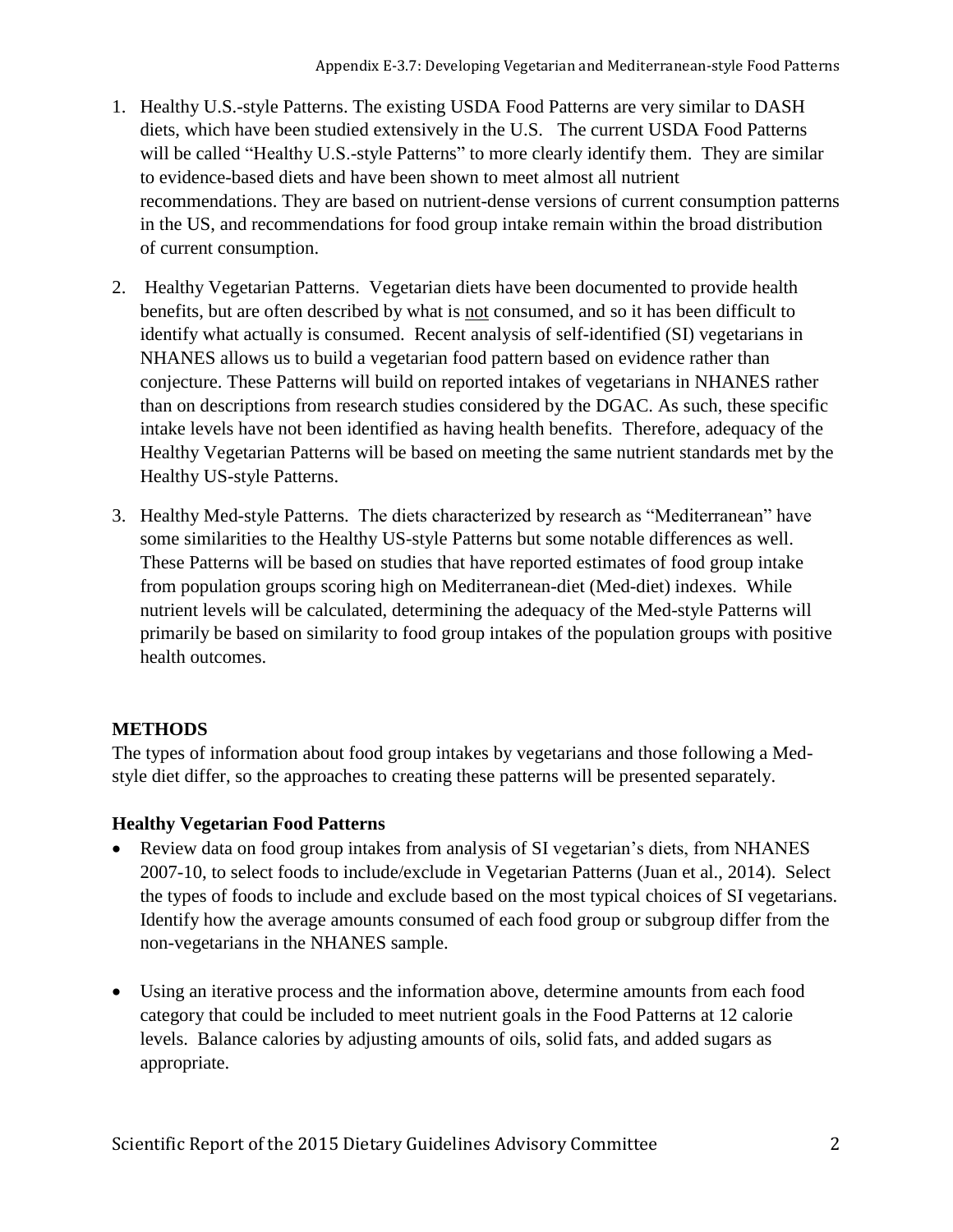- 1. Healthy U.S.-style Patterns. The existing USDA Food Patterns are very similar to DASH diets, which have been studied extensively in the U.S. The current USDA Food Patterns will be called "Healthy U.S.-style Patterns" to more clearly identify them. They are similar to evidence-based diets and have been shown to meet almost all nutrient recommendations. They are based on nutrient-dense versions of current consumption patterns in the US, and recommendations for food group intake remain within the broad distribution of current consumption.
- 2. Healthy Vegetarian Patterns. Vegetarian diets have been documented to provide health benefits, but are often described by what is not consumed, and so it has been difficult to identify what actually is consumed. Recent analysis of self-identified (SI) vegetarians in NHANES allows us to build a vegetarian food pattern based on evidence rather than conjecture. These Patterns will build on reported intakes of vegetarians in NHANES rather than on descriptions from research studies considered by the DGAC. As such, these specific intake levels have not been identified as having health benefits. Therefore, adequacy of the Healthy Vegetarian Patterns will be based on meeting the same nutrient standards met by the Healthy US-style Patterns.
- 3. Healthy Med-style Patterns. The diets characterized by research as "Mediterranean" have some similarities to the Healthy US-style Patterns but some notable differences as well. These Patterns will be based on studies that have reported estimates of food group intake from population groups scoring high on Mediterranean-diet (Med-diet) indexes. While nutrient levels will be calculated, determining the adequacy of the Med-style Patterns will primarily be based on similarity to food group intakes of the population groups with positive health outcomes.

## **METHODS**

The types of information about food group intakes by vegetarians and those following a Medstyle diet differ, so the approaches to creating these patterns will be presented separately.

## **Healthy Vegetarian Food Patterns**

- Review data on food group intakes from analysis of SI vegetarian's diets, from NHANES 2007-10, to select foods to include/exclude in Vegetarian Patterns (Juan et al., 2014). Select the types of foods to include and exclude based on the most typical choices of SI vegetarians. Identify how the average amounts consumed of each food group or subgroup differ from the non-vegetarians in the NHANES sample.
- Using an iterative process and the information above, determine amounts from each food category that could be included to meet nutrient goals in the Food Patterns at 12 calorie levels. Balance calories by adjusting amounts of oils, solid fats, and added sugars as appropriate.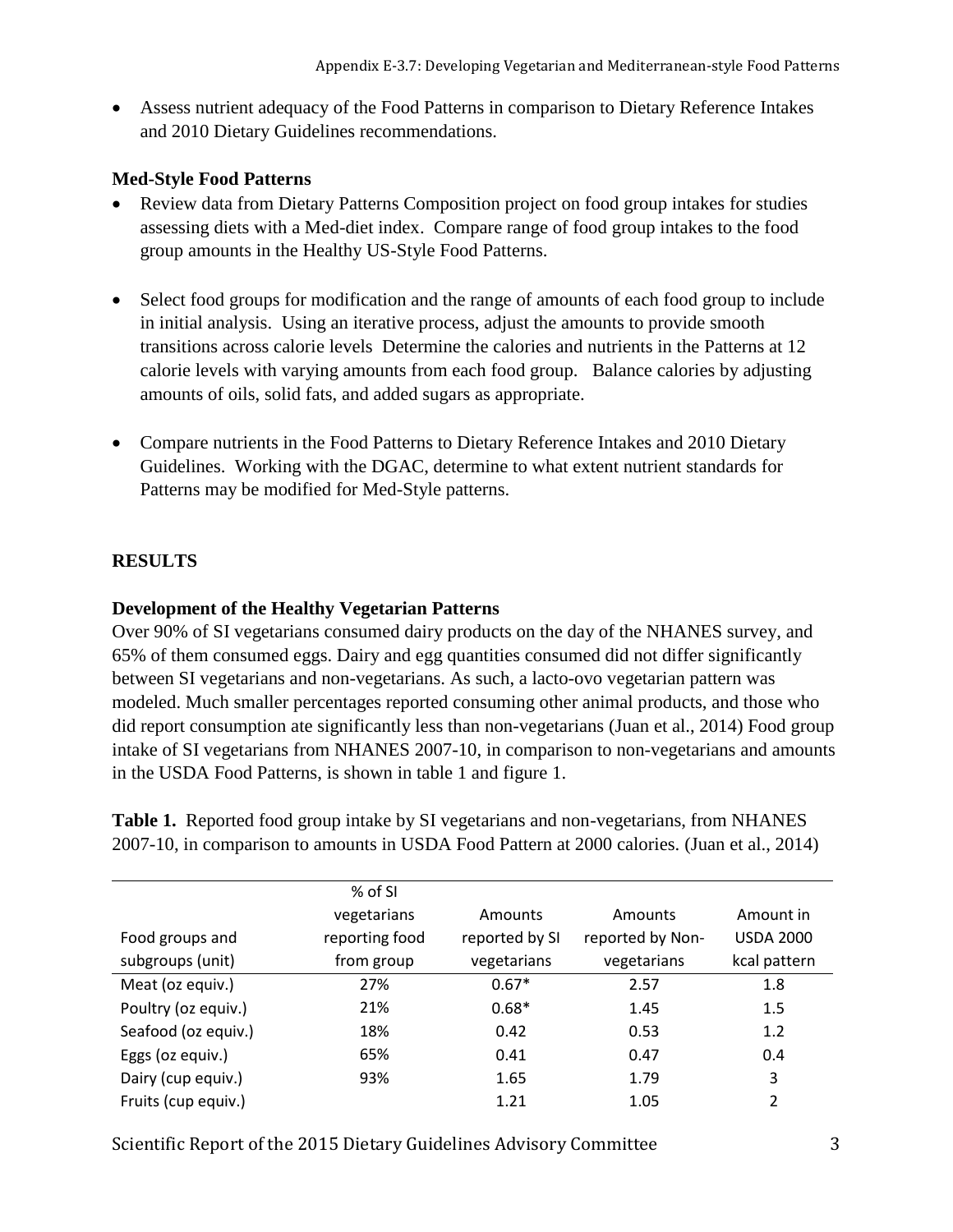Assess nutrient adequacy of the Food Patterns in comparison to Dietary Reference Intakes and 2010 Dietary Guidelines recommendations.

#### **Med-Style Food Patterns**

- Review data from Dietary Patterns Composition project on food group intakes for studies assessing diets with a Med-diet index. Compare range of food group intakes to the food group amounts in the Healthy US-Style Food Patterns.
- Select food groups for modification and the range of amounts of each food group to include in initial analysis. Using an iterative process, adjust the amounts to provide smooth transitions across calorie levels Determine the calories and nutrients in the Patterns at 12 calorie levels with varying amounts from each food group. Balance calories by adjusting amounts of oils, solid fats, and added sugars as appropriate.
- Compare nutrients in the Food Patterns to Dietary Reference Intakes and 2010 Dietary Guidelines. Working with the DGAC, determine to what extent nutrient standards for Patterns may be modified for Med-Style patterns.

#### **RESULTS**

#### **Development of the Healthy Vegetarian Patterns**

Over 90% of SI vegetarians consumed dairy products on the day of the NHANES survey, and 65% of them consumed eggs. Dairy and egg quantities consumed did not differ significantly between SI vegetarians and non-vegetarians. As such, a lacto-ovo vegetarian pattern was modeled. Much smaller percentages reported consuming other animal products, and those who did report consumption ate significantly less than non-vegetarians (Juan et al., 2014) Food group intake of SI vegetarians from NHANES 2007-10, in comparison to non-vegetarians and amounts in the USDA Food Patterns, is shown in table 1 and figure 1.

**Table 1.** Reported food group intake by SI vegetarians and non-vegetarians, from NHANES 2007-10, in comparison to amounts in USDA Food Pattern at 2000 calories. (Juan et al., 2014)

|                     | % of SI        |                |                  |                  |
|---------------------|----------------|----------------|------------------|------------------|
|                     | vegetarians    | Amounts        | Amounts          | Amount in        |
| Food groups and     | reporting food | reported by SI | reported by Non- | <b>USDA 2000</b> |
| subgroups (unit)    | from group     | vegetarians    | vegetarians      | kcal pattern     |
| Meat (oz equiv.)    | 27%            | $0.67*$        | 2.57             | 1.8              |
| Poultry (oz equiv.) | 21%            | $0.68*$        | 1.45             | 1.5              |
| Seafood (oz equiv.) | 18%            | 0.42           | 0.53             | 1.2              |
| Eggs (oz equiv.)    | 65%            | 0.41           | 0.47             | 0.4              |
| Dairy (cup equiv.)  | 93%            | 1.65           | 1.79             | 3                |
| Fruits (cup equiv.) |                | 1.21           | 1.05             | 2                |

Scientific Report of the 2015 Dietary Guidelines Advisory Committee 3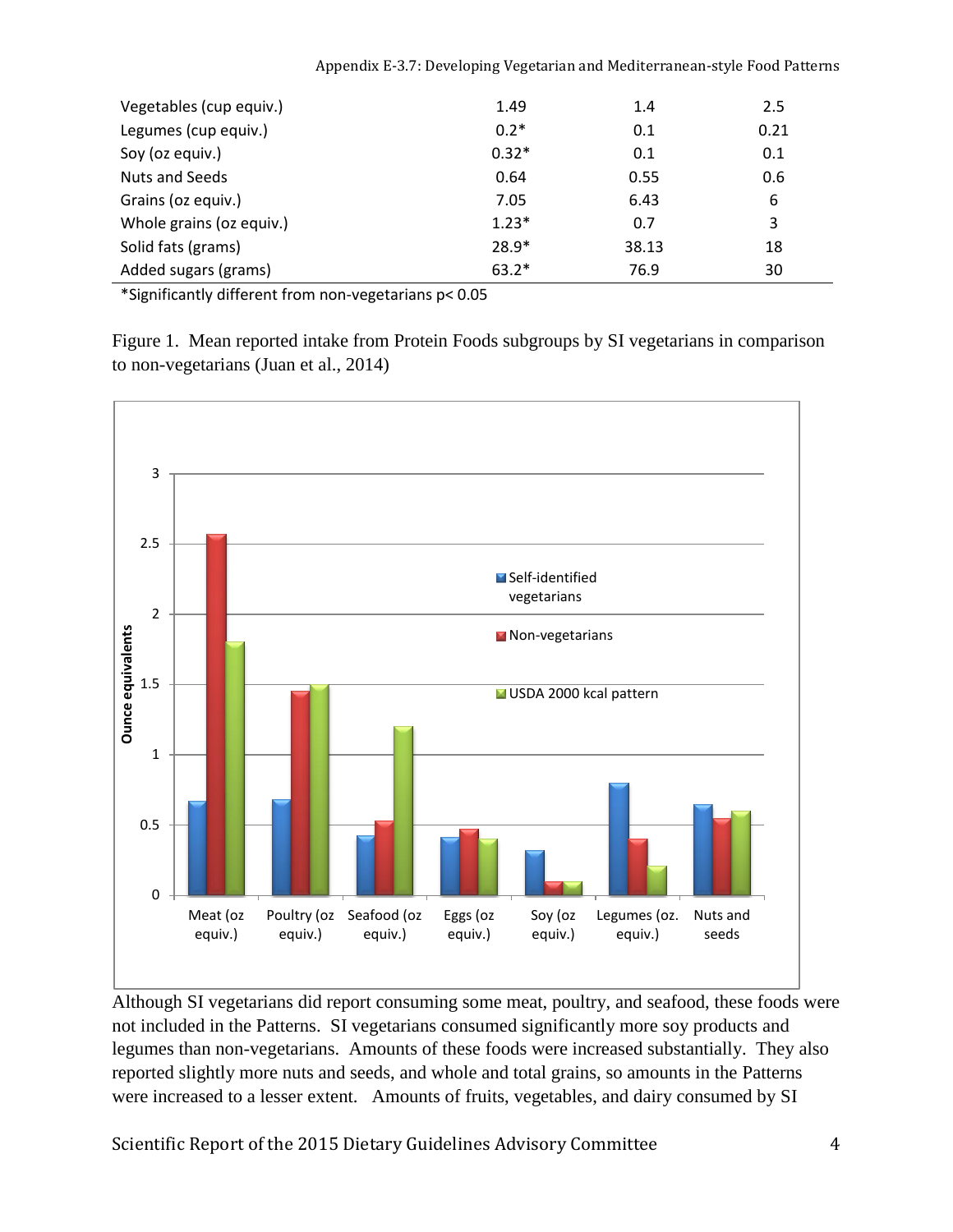|  | Appendix E-3.7: Developing Vegetarian and Mediterranean-style Food Patterns |  |
|--|-----------------------------------------------------------------------------|--|
|--|-----------------------------------------------------------------------------|--|

| Vegetables (cup equiv.)  | 1.49    | 1.4   | 2.5  |
|--------------------------|---------|-------|------|
| Legumes (cup equiv.)     | $0.2*$  | 0.1   | 0.21 |
| Soy (oz equiv.)          | $0.32*$ | 0.1   | 0.1  |
| <b>Nuts and Seeds</b>    | 0.64    | 0.55  | 0.6  |
| Grains (oz equiv.)       | 7.05    | 6.43  | 6    |
| Whole grains (oz equiv.) | $1.23*$ | 0.7   | 3    |
| Solid fats (grams)       | $28.9*$ | 38.13 | 18   |
| Added sugars (grams)     | $63.2*$ | 76.9  | 30   |

\*Significantly different from non-vegetarians p< 0.05

Figure 1. Mean reported intake from Protein Foods subgroups by SI vegetarians in comparison to non-vegetarians (Juan et al., 2014)



Although SI vegetarians did report consuming some meat, poultry, and seafood, these foods were not included in the Patterns. SI vegetarians consumed significantly more soy products and legumes than non-vegetarians. Amounts of these foods were increased substantially. They also reported slightly more nuts and seeds, and whole and total grains, so amounts in the Patterns were increased to a lesser extent. Amounts of fruits, vegetables, and dairy consumed by SI

Scientific Report of the 2015 Dietary Guidelines Advisory Committee 4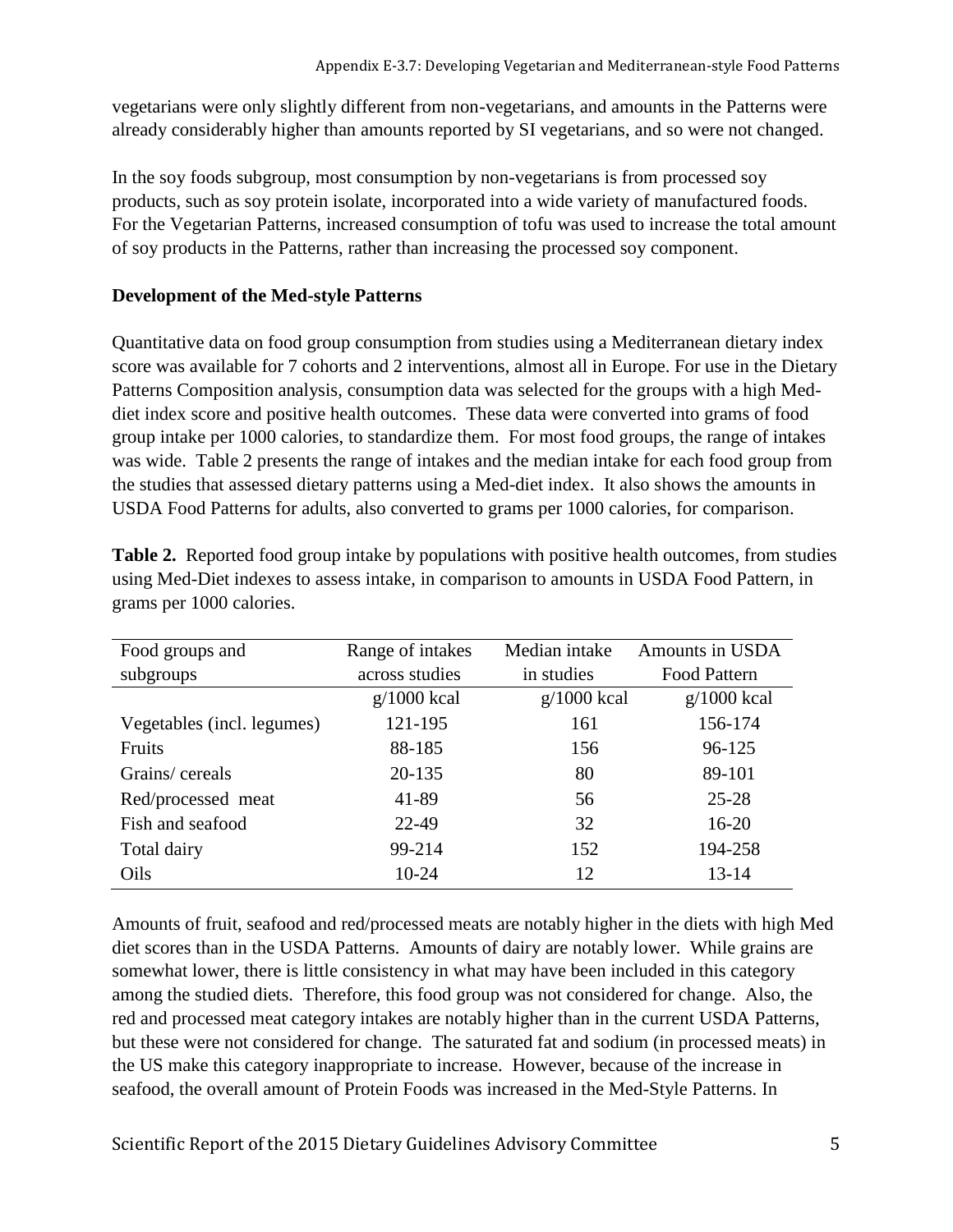vegetarians were only slightly different from non-vegetarians, and amounts in the Patterns were already considerably higher than amounts reported by SI vegetarians, and so were not changed.

In the soy foods subgroup, most consumption by non-vegetarians is from processed soy products, such as soy protein isolate, incorporated into a wide variety of manufactured foods. For the Vegetarian Patterns, increased consumption of tofu was used to increase the total amount of soy products in the Patterns, rather than increasing the processed soy component.

### **Development of the Med-style Patterns**

Quantitative data on food group consumption from studies using a Mediterranean dietary index score was available for 7 cohorts and 2 interventions, almost all in Europe. For use in the Dietary Patterns Composition analysis, consumption data was selected for the groups with a high Meddiet index score and positive health outcomes. These data were converted into grams of food group intake per 1000 calories, to standardize them. For most food groups, the range of intakes was wide. Table 2 presents the range of intakes and the median intake for each food group from the studies that assessed dietary patterns using a Med-diet index. It also shows the amounts in USDA Food Patterns for adults, also converted to grams per 1000 calories, for comparison.

| Food groups and            | Range of intakes | Median intake | Amounts in USDA |
|----------------------------|------------------|---------------|-----------------|
| subgroups                  | across studies   | in studies    | Food Pattern    |
|                            | $g/1000$ kcal    | $g/1000$ kcal | $g/1000$ kcal   |
| Vegetables (incl. legumes) | 121-195          | 161           | 156-174         |
| Fruits                     | 88-185           | 156           | 96-125          |
| Grains/cereals             | 20-135           | 80            | 89-101          |
| Red/processed meat         | 41-89            | 56            | 25-28           |
| Fish and seafood           | 22-49            | 32            | $16 - 20$       |
| Total dairy                | 99-214           | 152           | 194-258         |
| Oils                       | $10-24$          | 12            | 13-14           |

**Table 2.** Reported food group intake by populations with positive health outcomes, from studies using Med-Diet indexes to assess intake, in comparison to amounts in USDA Food Pattern, in grams per 1000 calories.

Amounts of fruit, seafood and red/processed meats are notably higher in the diets with high Med diet scores than in the USDA Patterns. Amounts of dairy are notably lower. While grains are somewhat lower, there is little consistency in what may have been included in this category among the studied diets. Therefore, this food group was not considered for change. Also, the red and processed meat category intakes are notably higher than in the current USDA Patterns, but these were not considered for change. The saturated fat and sodium (in processed meats) in the US make this category inappropriate to increase. However, because of the increase in seafood, the overall amount of Protein Foods was increased in the Med-Style Patterns. In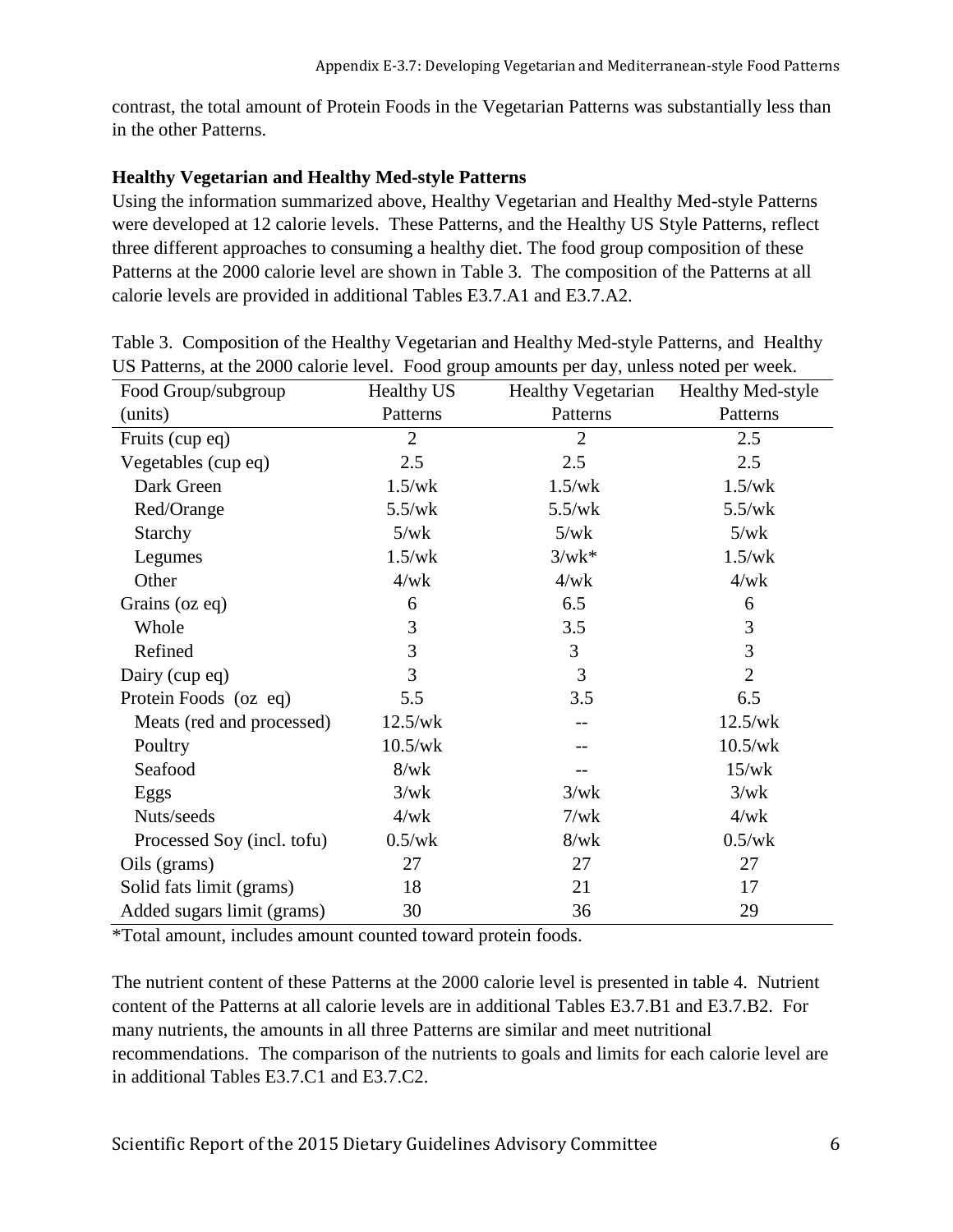contrast, the total amount of Protein Foods in the Vegetarian Patterns was substantially less than in the other Patterns.

#### **Healthy Vegetarian and Healthy Med-style Patterns**

Using the information summarized above, Healthy Vegetarian and Healthy Med-style Patterns were developed at 12 calorie levels. These Patterns, and the Healthy US Style Patterns, reflect three different approaches to consuming a healthy diet. The food group composition of these Patterns at the 2000 calorie level are shown in Table 3. The composition of the Patterns at all calorie levels are provided in additional Tables E3.7.A1 and E3.7.A2.

| Food Group/subgroup        | <b>Healthy US</b> | <b>Healthy Vegetarian</b> | <b>Healthy Med-style</b> |
|----------------------------|-------------------|---------------------------|--------------------------|
| (units)                    | Patterns          | Patterns                  | Patterns                 |
| Fruits (cup eq)            | $\overline{2}$    | $\overline{2}$            | 2.5                      |
| Vegetables (cup eq)        | 2.5               | 2.5                       | 2.5                      |
| Dark Green                 | 1.5/wk            | 1.5/wk                    | 1.5/wk                   |
| Red/Orange                 | 5.5/wk            | 5.5/wk                    | 5.5/wk                   |
| Starchy                    | 5/wk              | 5/wk                      | 5/wk                     |
| Legumes                    | 1.5/wk            | $3/wk^*$                  | 1.5/wk                   |
| Other                      | 4/wk              | 4/wk                      | 4/wk                     |
| Grains (oz eq)             | 6                 | 6.5                       | 6                        |
| Whole                      | 3                 | 3.5                       | 3                        |
| Refined                    | 3                 | 3                         | 3                        |
| Dairy (cup eq)             | 3                 | 3                         | $\overline{2}$           |
| Protein Foods (oz eq)      | 5.5               | 3.5                       | 6.5                      |
| Meats (red and processed)  | 12.5/wk           |                           | 12.5/wk                  |
| Poultry                    | 10.5/wk           |                           | 10.5/wk                  |
| Seafood                    | 8/wk              |                           | 15/wk                    |
| Eggs                       | 3/wk              | 3/wk                      | 3/wk                     |
| Nuts/seeds                 | 4/wk              | 7/wk                      | 4/wk                     |
| Processed Soy (incl. tofu) | $0.5$ /wk         | 8/wk                      | $0.5$ /wk                |
| Oils (grams)               | 27                | 27                        | 27                       |
| Solid fats limit (grams)   | 18                | 21                        | 17                       |
| Added sugars limit (grams) | 30                | 36                        | 29                       |

Table 3. Composition of the Healthy Vegetarian and Healthy Med-style Patterns, and Healthy US Patterns, at the 2000 calorie level. Food group amounts per day, unless noted per week.

\*Total amount, includes amount counted toward protein foods.

The nutrient content of these Patterns at the 2000 calorie level is presented in table 4. Nutrient content of the Patterns at all calorie levels are in additional Tables E3.7.B1 and E3.7.B2. For many nutrients, the amounts in all three Patterns are similar and meet nutritional recommendations. The comparison of the nutrients to goals and limits for each calorie level are in additional Tables E3.7.C1 and E3.7.C2.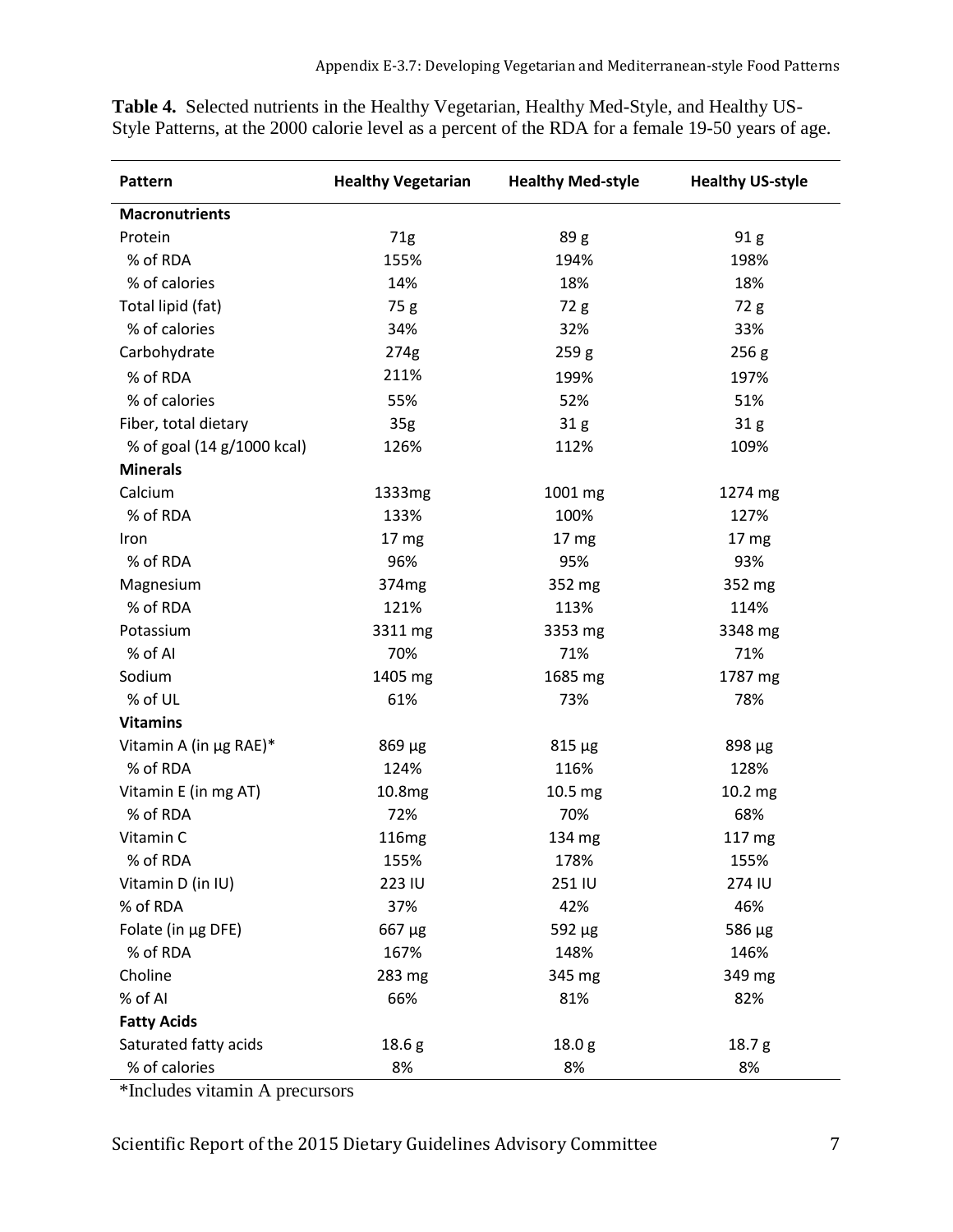| Pattern                    | <b>Healthy Vegetarian</b> | <b>Healthy Med-style</b> | <b>Healthy US-style</b> |
|----------------------------|---------------------------|--------------------------|-------------------------|
| <b>Macronutrients</b>      |                           |                          |                         |
| Protein                    | 71g                       | 89 <sub>g</sub>          | 91 <sub>g</sub>         |
| % of RDA                   | 155%                      | 194%                     | 198%                    |
| % of calories              | 14%                       | 18%                      | 18%                     |
| Total lipid (fat)          | 75 g                      | 72 g                     | 72 g                    |
| % of calories              | 34%                       | 32%                      | 33%                     |
| Carbohydrate               | 274g                      | 259 <sub>g</sub>         | 256 <sub>g</sub>        |
| % of RDA                   | 211%                      | 199%                     | 197%                    |
| % of calories              | 55%                       | 52%                      | 51%                     |
| Fiber, total dietary       | 35 <sub>g</sub>           | 31 <sub>g</sub>          | 31g                     |
| % of goal (14 g/1000 kcal) | 126%                      | 112%                     | 109%                    |
| <b>Minerals</b>            |                           |                          |                         |
| Calcium                    | 1333mg                    | 1001 mg                  | 1274 mg                 |
| % of RDA                   | 133%                      | 100%                     | 127%                    |
| Iron                       | 17 mg                     | 17 mg                    | 17 mg                   |
| % of RDA                   | 96%                       | 95%                      | 93%                     |
| Magnesium                  | 374 <sub>mg</sub>         | 352 mg                   | 352 mg                  |
| % of RDA                   | 121%                      | 113%                     | 114%                    |
| Potassium                  | 3311 mg                   | 3353 mg                  | 3348 mg                 |
| % of Al                    | 70%                       | 71%                      | 71%                     |
| Sodium                     | 1405 mg                   | 1685 mg                  | 1787 mg                 |
| % of UL                    | 61%                       | 73%                      | 78%                     |
| <b>Vitamins</b>            |                           |                          |                         |
| Vitamin A (in µg RAE)*     | $869 \mu g$               | $815 \mu g$              | 898 µg                  |
| % of RDA                   | 124%                      | 116%                     | 128%                    |
| Vitamin E (in mg AT)       | 10.8mg                    | 10.5 mg                  | 10.2 mg                 |
| % of RDA                   | 72%                       | 70%                      | 68%                     |
| Vitamin C                  | <b>116mg</b>              | 134 mg                   | 117 mg                  |
| % of RDA                   | 155%                      | 178%                     | 155%                    |
| Vitamin D (in IU)          | 223 IU                    | 251 IU                   | 274 IU                  |
| % of RDA                   | 37%                       | 42%                      | 46%                     |
| Folate (in µg DFE)         | $667 \mu g$               | $592 \mu g$              | 586 µg                  |
| % of RDA                   | 167%                      | 148%                     | 146%                    |
| Choline                    | 283 mg                    | 345 mg                   | 349 mg                  |
| % of AI                    | 66%                       | 81%                      | 82%                     |
| <b>Fatty Acids</b>         |                           |                          |                         |
| Saturated fatty acids      | 18.6 <sub>g</sub>         | 18.0 <sub>g</sub>        | 18.7g                   |
| % of calories              | 8%                        | 8%                       | 8%                      |

**Table 4.** Selected nutrients in the Healthy Vegetarian, Healthy Med-Style, and Healthy US-Style Patterns, at the 2000 calorie level as a percent of the RDA for a female 19-50 years of age.

\*Includes vitamin A precursors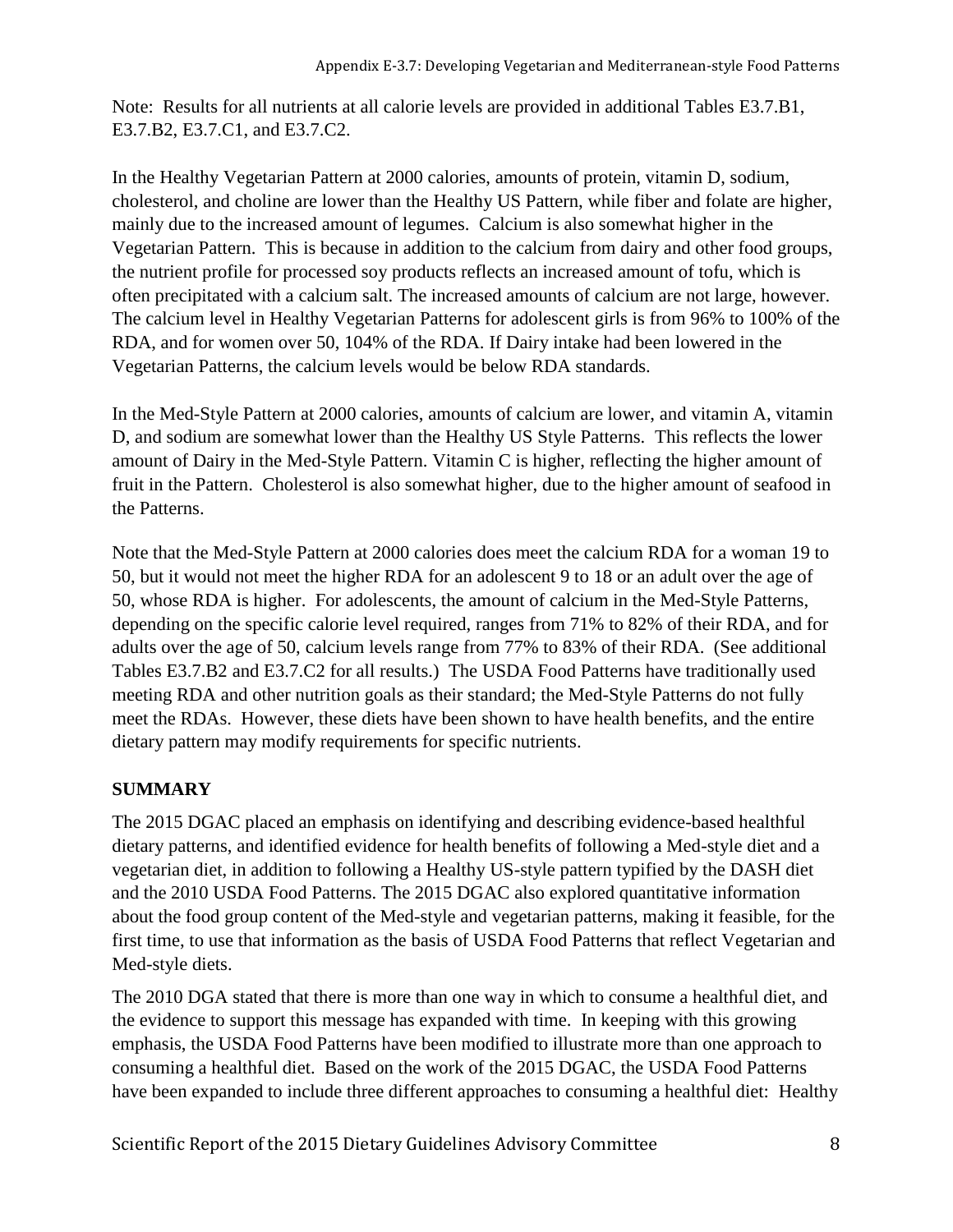Note: Results for all nutrients at all calorie levels are provided in additional Tables E3.7.B1, E3.7.B2, E3.7.C1, and E3.7.C2.

In the Healthy Vegetarian Pattern at 2000 calories, amounts of protein, vitamin D, sodium, cholesterol, and choline are lower than the Healthy US Pattern, while fiber and folate are higher, mainly due to the increased amount of legumes. Calcium is also somewhat higher in the Vegetarian Pattern. This is because in addition to the calcium from dairy and other food groups, the nutrient profile for processed soy products reflects an increased amount of tofu, which is often precipitated with a calcium salt. The increased amounts of calcium are not large, however. The calcium level in Healthy Vegetarian Patterns for adolescent girls is from 96% to 100% of the RDA, and for women over 50, 104% of the RDA. If Dairy intake had been lowered in the Vegetarian Patterns, the calcium levels would be below RDA standards.

In the Med-Style Pattern at 2000 calories, amounts of calcium are lower, and vitamin A, vitamin D, and sodium are somewhat lower than the Healthy US Style Patterns. This reflects the lower amount of Dairy in the Med-Style Pattern. Vitamin C is higher, reflecting the higher amount of fruit in the Pattern. Cholesterol is also somewhat higher, due to the higher amount of seafood in the Patterns.

Note that the Med-Style Pattern at 2000 calories does meet the calcium RDA for a woman 19 to 50, but it would not meet the higher RDA for an adolescent 9 to 18 or an adult over the age of 50, whose RDA is higher. For adolescents, the amount of calcium in the Med-Style Patterns, depending on the specific calorie level required, ranges from 71% to 82% of their RDA, and for adults over the age of 50, calcium levels range from 77% to 83% of their RDA. (See additional Tables E3.7.B2 and E3.7.C2 for all results.) The USDA Food Patterns have traditionally used meeting RDA and other nutrition goals as their standard; the Med-Style Patterns do not fully meet the RDAs. However, these diets have been shown to have health benefits, and the entire dietary pattern may modify requirements for specific nutrients.

## **SUMMARY**

The 2015 DGAC placed an emphasis on identifying and describing evidence-based healthful dietary patterns, and identified evidence for health benefits of following a Med-style diet and a vegetarian diet, in addition to following a Healthy US-style pattern typified by the DASH diet and the 2010 USDA Food Patterns. The 2015 DGAC also explored quantitative information about the food group content of the Med-style and vegetarian patterns, making it feasible, for the first time, to use that information as the basis of USDA Food Patterns that reflect Vegetarian and Med-style diets.

The 2010 DGA stated that there is more than one way in which to consume a healthful diet, and the evidence to support this message has expanded with time. In keeping with this growing emphasis, the USDA Food Patterns have been modified to illustrate more than one approach to consuming a healthful diet. Based on the work of the 2015 DGAC, the USDA Food Patterns have been expanded to include three different approaches to consuming a healthful diet: Healthy